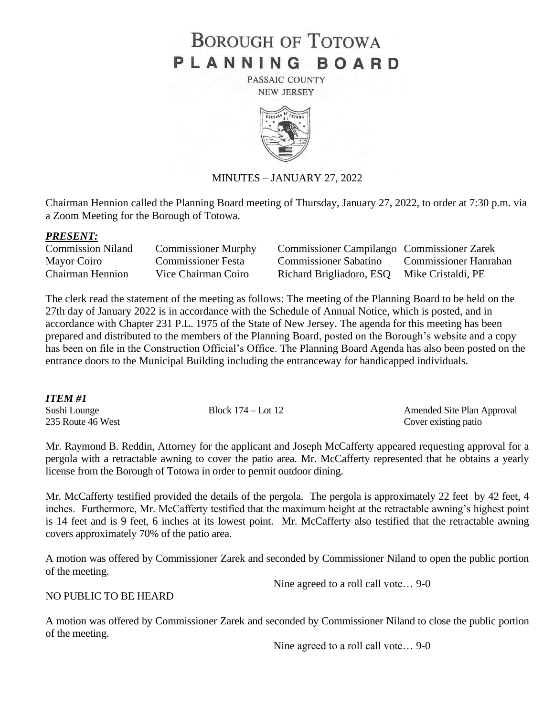# **BOROUGH OF TOTOWA** PLANNING BOARD

PASSAIC COUNTY **NEW JERSEY** 



### MINUTES – JANUARY 27, 2022

Chairman Hennion called the Planning Board meeting of Thursday, January 27, 2022, to order at 7:30 p.m. via a Zoom Meeting for the Borough of Totowa.

#### *PRESENT:*

| <b>Commission Niland</b> | <b>Commissioner Murphy</b> | Commissioner Campilango Commissioner Zarek  |                       |
|--------------------------|----------------------------|---------------------------------------------|-----------------------|
| Mayor Coiro              | <b>Commissioner Festa</b>  | Commissioner Sabatino                       | Commissioner Hanrahan |
| Chairman Hennion         | Vice Chairman Coiro        | Richard Brigliadoro, ESQ Mike Cristaldi, PE |                       |

The clerk read the statement of the meeting as follows: The meeting of the Planning Board to be held on the 27th day of January 2022 is in accordance with the Schedule of Annual Notice, which is posted, and in accordance with Chapter 231 P.L. 1975 of the State of New Jersey. The agenda for this meeting has been prepared and distributed to the members of the Planning Board, posted on the Borough's website and a copy has been on file in the Construction Official's Office. The Planning Board Agenda has also been posted on the entrance doors to the Municipal Building including the entranceway for handicapped individuals.

### *ITEM #1*

| 11 LW1 11 1       |                        |                            |
|-------------------|------------------------|----------------------------|
| Sushi Lounge      | Block $174 -$ Lot $12$ | Amended Site Plan Approval |
| 235 Route 46 West |                        | Cover existing patio       |

Mr. Raymond B. Reddin, Attorney for the applicant and Joseph McCafferty appeared requesting approval for a pergola with a retractable awning to cover the patio area. Mr. McCafferty represented that he obtains a yearly license from the Borough of Totowa in order to permit outdoor dining.

Mr. McCafferty testified provided the details of the pergola. The pergola is approximately 22 feet by 42 feet, 4 inches. Furthermore, Mr. McCafferty testified that the maximum height at the retractable awning's highest point is 14 feet and is 9 feet, 6 inches at its lowest point. Mr. McCafferty also testified that the retractable awning covers approximately 70% of the patio area.

A motion was offered by Commissioner Zarek and seconded by Commissioner Niland to open the public portion of the meeting.

NO PUBLIC TO BE HEARD

Nine agreed to a roll call vote… 9-0

A motion was offered by Commissioner Zarek and seconded by Commissioner Niland to close the public portion of the meeting.

Nine agreed to a roll call vote… 9-0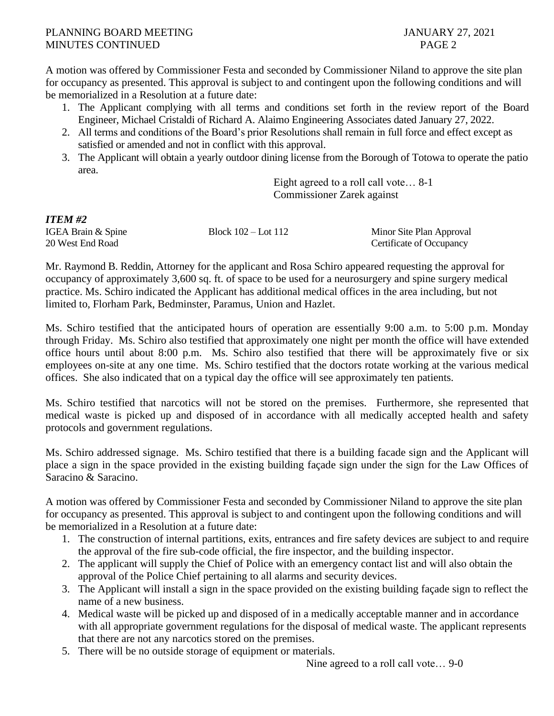## PLANNING BOARD MEETING JANUARY 27, 2021 MINUTES CONTINUED PAGE 2

A motion was offered by Commissioner Festa and seconded by Commissioner Niland to approve the site plan for occupancy as presented. This approval is subject to and contingent upon the following conditions and will be memorialized in a Resolution at a future date:

- 1. The Applicant complying with all terms and conditions set forth in the review report of the Board Engineer, Michael Cristaldi of Richard A. Alaimo Engineering Associates dated January 27, 2022.
- 2. All terms and conditions of the Board's prior Resolutions shall remain in full force and effect except as satisfied or amended and not in conflict with this approval.
- 3. The Applicant will obtain a yearly outdoor dining license from the Borough of Totowa to operate the patio area.

Eight agreed to a roll call vote… 8-1 Commissioner Zarek against

| <i>ITEM #2</i>     |                         |
|--------------------|-------------------------|
| IGEA Brain & Spine | Block $102 -$ Lot $112$ |
| 20 West End Road   |                         |

Minor Site Plan Approval Certificate of Occupancy

Mr. Raymond B. Reddin, Attorney for the applicant and Rosa Schiro appeared requesting the approval for occupancy of approximately 3,600 sq. ft. of space to be used for a neurosurgery and spine surgery medical practice. Ms. Schiro indicated the Applicant has additional medical offices in the area including, but not limited to, Florham Park, Bedminster, Paramus, Union and Hazlet.

Ms. Schiro testified that the anticipated hours of operation are essentially 9:00 a.m. to 5:00 p.m. Monday through Friday. Ms. Schiro also testified that approximately one night per month the office will have extended office hours until about 8:00 p.m. Ms. Schiro also testified that there will be approximately five or six employees on-site at any one time. Ms. Schiro testified that the doctors rotate working at the various medical offices. She also indicated that on a typical day the office will see approximately ten patients.

Ms. Schiro testified that narcotics will not be stored on the premises. Furthermore, she represented that medical waste is picked up and disposed of in accordance with all medically accepted health and safety protocols and government regulations.

Ms. Schiro addressed signage. Ms. Schiro testified that there is a building facade sign and the Applicant will place a sign in the space provided in the existing building façade sign under the sign for the Law Offices of Saracino & Saracino.

A motion was offered by Commissioner Festa and seconded by Commissioner Niland to approve the site plan for occupancy as presented. This approval is subject to and contingent upon the following conditions and will be memorialized in a Resolution at a future date:

- 1. The construction of internal partitions, exits, entrances and fire safety devices are subject to and require the approval of the fire sub-code official, the fire inspector, and the building inspector.
- 2. The applicant will supply the Chief of Police with an emergency contact list and will also obtain the approval of the Police Chief pertaining to all alarms and security devices.
- 3. The Applicant will install a sign in the space provided on the existing building façade sign to reflect the name of a new business.
- 4. Medical waste will be picked up and disposed of in a medically acceptable manner and in accordance with all appropriate government regulations for the disposal of medical waste. The applicant represents that there are not any narcotics stored on the premises.
- 5. There will be no outside storage of equipment or materials.

Nine agreed to a roll call vote… 9-0